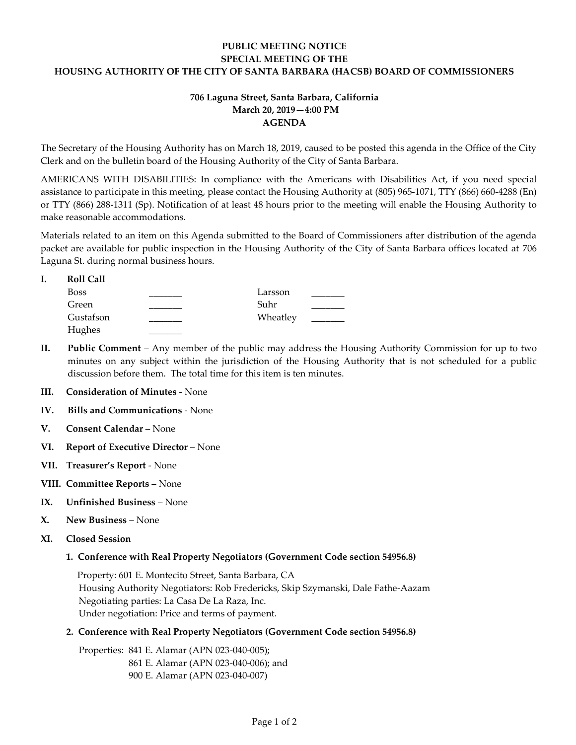## **PUBLIC MEETING NOTICE SPECIAL MEETING OF THE HOUSING AUTHORITY OF THE CITY OF SANTA BARBARA (HACSB) BOARD OF COMMISSIONERS**

## **706 Laguna Street, Santa Barbara, California March 20, 2019—4:00 PM AGENDA**

The Secretary of the Housing Authority has on March 18, 2019, caused to be posted this agenda in the Office of the City Clerk and on the bulletin board of the Housing Authority of the City of Santa Barbara.

AMERICANS WITH DISABILITIES: In compliance with the Americans with Disabilities Act, if you need special assistance to participate in this meeting, please contact the Housing Authority at (805) 965-1071, TTY (866) 660-4288 (En) or TTY (866) 288-1311 (Sp). Notification of at least 48 hours prior to the meeting will enable the Housing Authority to make reasonable accommodations.

Materials related to an item on this Agenda submitted to the Board of Commissioners after distribution of the agenda packet are available for public inspection in the Housing Authority of the City of Santa Barbara offices located at 706 Laguna St. during normal business hours.

| <b>Roll Call</b> |          |  |
|------------------|----------|--|
| <b>Boss</b>      | Larsson  |  |
| Green            | Suhr     |  |
| Gustafson        | Wheatley |  |
| Hughes           |          |  |

- **II. Public Comment** Any member of the public may address the Housing Authority Commission for up to two minutes on any subject within the jurisdiction of the Housing Authority that is not scheduled for a public discussion before them. The total time for this item is ten minutes.
- **III. Consideration of Minutes**  None
- **IV. Bills and Communications** None
- **V. Consent Calendar** None
- **VI. Report of Executive Director** None
- **VII. Treasurer's Report** None
- **VIII. Committee Reports**  None
- **IX. Unfinished Business**  None
- **X. New Business**  None
- **XI. Closed Session** 
	- **1. Conference with Real Property Negotiators (Government Code section 54956.8)**

 Property: 601 E. Montecito Street, Santa Barbara, CA Housing Authority Negotiators: Rob Fredericks, Skip Szymanski, Dale Fathe-Aazam Negotiating parties: La Casa De La Raza, Inc. Under negotiation: Price and terms of payment.

**2. Conference with Real Property Negotiators (Government Code section 54956.8)**

Properties: 841 E. Alamar (APN 023-040-005); 861 E. Alamar (APN 023-040-006); and 900 E. Alamar (APN 023-040-007)